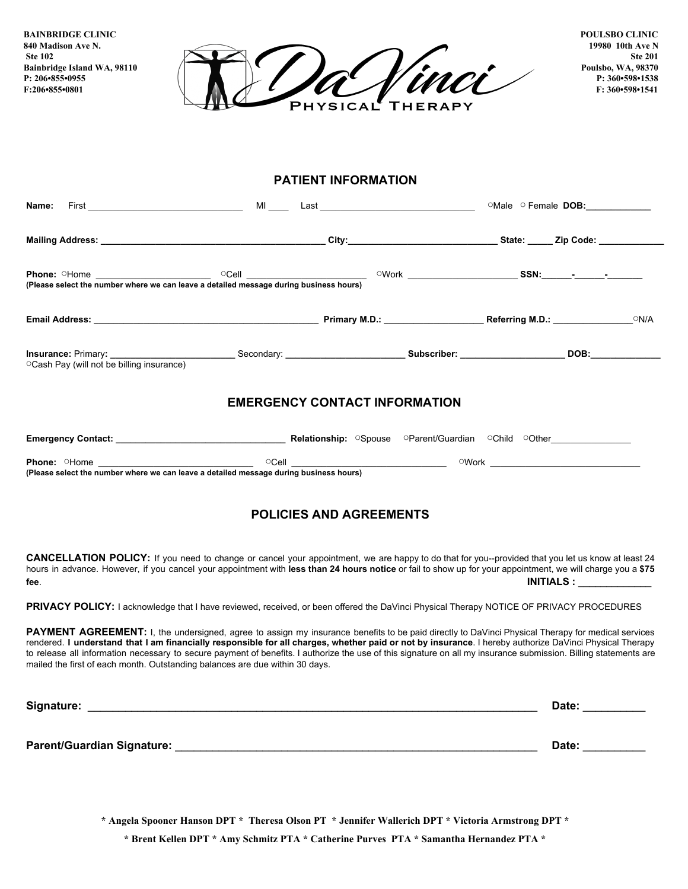**BAINBRIDGE CLINIC 840 Madison Ave N. Ste 102 Bainbridge Island WA, 98110 P: 206•855•0955 F:206•855•0801**



**POULSBO CLINIC 19980 10th Ave N Ste 201 Poulsbo, WA, 98370 P: 360•598•1538 F: 360•598•1541**

## **PATIENT INFORMATION**

| ○ Cash Pay (will not be billing insurance) |                                      |  |  |  |  |
|--------------------------------------------|--------------------------------------|--|--|--|--|
|                                            | <b>EMERGENCY CONTACT INFORMATION</b> |  |  |  |  |
|                                            |                                      |  |  |  |  |
|                                            |                                      |  |  |  |  |
|                                            | <b>POLICIES AND AGREEMENTS</b>       |  |  |  |  |

**CANCELLATION POLICY:** If you need to change or cancel your appointment, we are happy to do that for you--provided that you let us know at least 24 hours in advance. However, if you cancel your appointment with **less than 24 hours notice** or fail to show up for your appointment, we will charge you a **\$75 fee**. **INITIALS :** \_\_\_\_\_\_\_\_\_\_\_\_\_

PRIVACY POLICY: I acknowledge that I have reviewed, received, or been offered the DaVinci Physical Therapy NOTICE OF PRIVACY PROCEDURES

PAYMENT AGREEMENT: I, the undersigned, agree to assign my insurance benefits to be paid directly to DaVinci Physical Therapy for medical services rendered. I understand that I am financially responsible for all charges, whether paid or not by insurance. I hereby authorize DaVinci Physical Therapy to release all information necessary to secure payment of benefits. I authorize the use of this signature on all my insurance submission. Billing statements are mailed the first of each month. Outstanding balances are due within 30 days.

**Signature:** \_\_\_\_\_\_\_\_\_\_\_\_\_\_\_\_\_\_\_\_\_\_\_\_\_\_\_\_\_\_\_\_\_\_\_\_\_\_\_\_\_\_\_\_\_\_\_\_\_\_\_\_\_\_\_\_\_\_\_\_\_\_\_\_\_\_\_\_\_\_\_\_ **Date:** \_\_\_\_\_\_\_\_\_\_ **Parent/Guardian Signature:** \_\_\_\_\_\_\_\_\_\_\_\_\_\_\_\_\_\_\_\_\_\_\_\_\_\_\_\_\_\_\_\_\_\_\_\_\_\_\_\_\_\_\_\_\_\_\_\_\_\_\_\_\_\_\_\_\_\_ **Date:** \_\_\_\_\_\_\_\_\_\_

**\* Angela Spooner Hanson DPT \* Theresa Olson PT \* Jennifer Wallerich DPT \* Victoria Armstrong DPT \***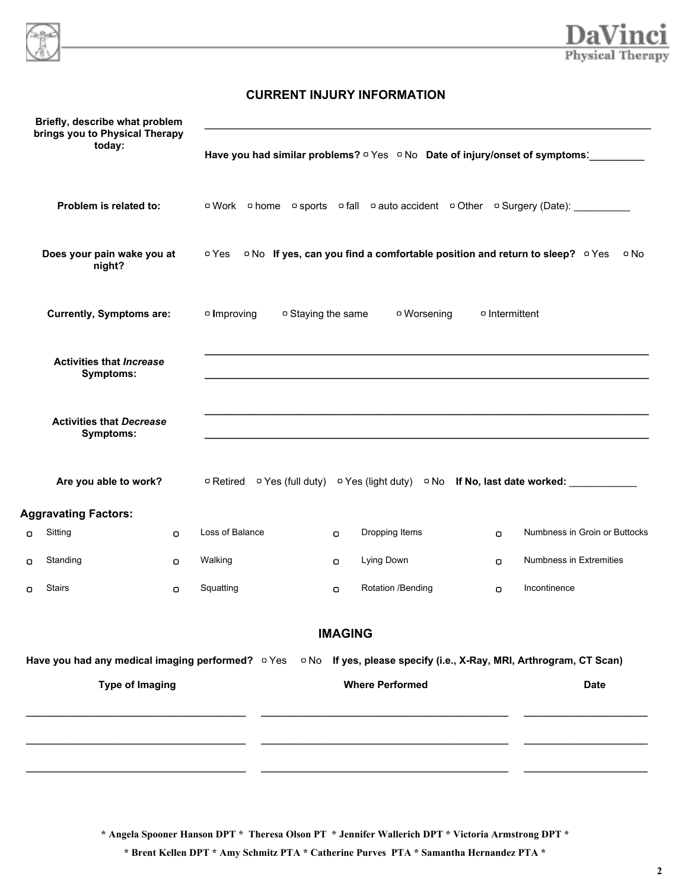



## **CURRENT INJURY INFORMATION**

|   | Briefly, describe what problem<br>brings you to Physical Therapy                                                                  |                   |                    |                                                                                   |                |                                                                                                                                   |
|---|-----------------------------------------------------------------------------------------------------------------------------------|-------------------|--------------------|-----------------------------------------------------------------------------------|----------------|-----------------------------------------------------------------------------------------------------------------------------------|
|   | today:                                                                                                                            |                   |                    |                                                                                   |                | Have you had similar problems? $\circ$ Yes $\circ$ No Date of injury/onset of symptoms:                                           |
|   | Problem is related to:                                                                                                            |                   |                    |                                                                                   |                | <b>o</b> Work <b>o</b> home <b>o</b> sports <b>o</b> fall <b>o</b> auto accident <b>o</b> Other <b>o</b> Surgery (Date): ________ |
|   | Does your pain wake you at<br>night?                                                                                              |                   |                    | ○ Yes ○ No If yes, can you find a comfortable position and return to sleep? ○ Yes |                | □ No                                                                                                                              |
|   | <b>Currently, Symptoms are:</b>                                                                                                   | $\circ$ Improving | □ Staying the same | □ Worsening                                                                       | o Intermittent |                                                                                                                                   |
|   | <b>Activities that Increase</b><br><b>Symptoms:</b>                                                                               |                   |                    |                                                                                   |                |                                                                                                                                   |
|   | <b>Activities that Decrease</b><br>Symptoms:                                                                                      |                   |                    |                                                                                   |                |                                                                                                                                   |
|   | Are you able to work?                                                                                                             |                   |                    |                                                                                   |                | □ Retired □ Yes (full duty) □ Yes (light duty) □ No If No, last date worked: _________                                            |
|   | <b>Aggravating Factors:</b>                                                                                                       |                   |                    |                                                                                   |                |                                                                                                                                   |
| O | Sitting<br>O                                                                                                                      | Loss of Balance   | $\Box$             | Dropping Items                                                                    | $\Box$         | Numbness in Groin or Buttocks                                                                                                     |
| о | Standing<br>O                                                                                                                     | Walking           | $\Box$             | Lying Down                                                                        | $\Box$         | Numbness in Extremities                                                                                                           |
| O | Stairs<br>O                                                                                                                       | Squatting         | $\Box$             | Rotation /Bending                                                                 | $\Box$         | Incontinence                                                                                                                      |
|   |                                                                                                                                   |                   | <b>IMAGING</b>     |                                                                                   |                |                                                                                                                                   |
|   | Have you had any medical imaging performed? $\circ$ Yes $\circ$ No If yes, please specify (i.e., X-Ray, MRI, Arthrogram, CT Scan) |                   |                    |                                                                                   |                |                                                                                                                                   |
|   | <b>Type of Imaging</b>                                                                                                            |                   |                    | <b>Where Performed</b>                                                            |                | <b>Date</b>                                                                                                                       |
|   |                                                                                                                                   |                   |                    |                                                                                   |                |                                                                                                                                   |
|   |                                                                                                                                   |                   |                    |                                                                                   |                |                                                                                                                                   |
|   |                                                                                                                                   |                   |                    |                                                                                   |                |                                                                                                                                   |

**\* Angela Spooner Hanson DPT \* Theresa Olson PT \* Jennifer Wallerich DPT \* Victoria Armstrong DPT \***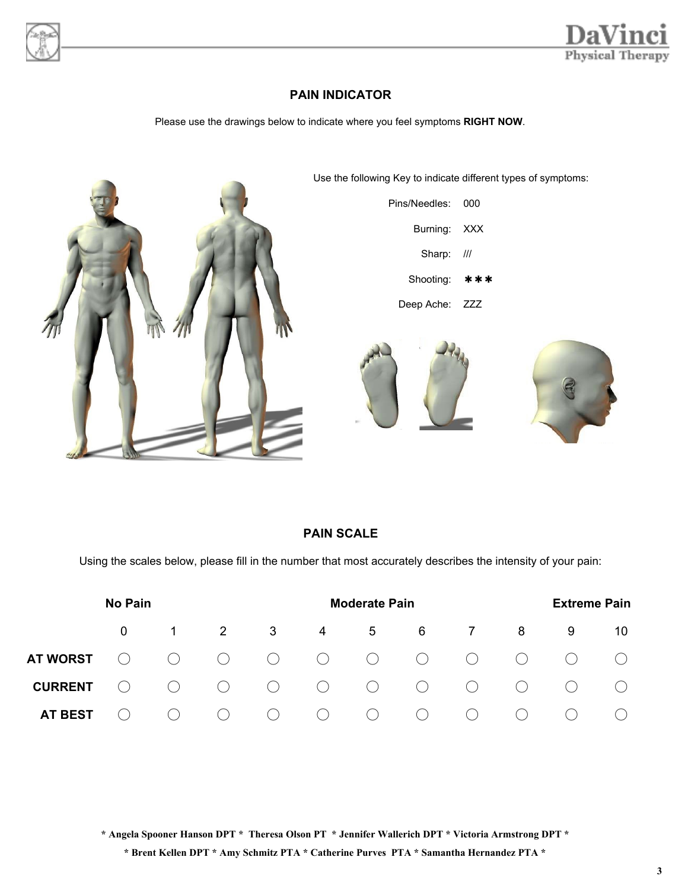



# **PAIN INDICATOR**

Please use the drawings below to indicate where you feel symptoms **RIGHT NOW**.



## **PAIN SCALE**

Using the scales below, please fill in the number that most accurately describes the intensity of your pain:

|                 | <b>Moderate Pain</b> |                                               |                                               |                                             |            |                | <b>Extreme Pain</b> |                |     |   |     |
|-----------------|----------------------|-----------------------------------------------|-----------------------------------------------|---------------------------------------------|------------|----------------|---------------------|----------------|-----|---|-----|
|                 | $\Omega$             | $\overline{1}$                                | $\overline{2}$                                | 3                                           | 4          | 5 <sub>5</sub> | 6                   | $\overline{7}$ | 8   | 9 | 10. |
| <b>AT WORST</b> | $(\ )$               | $\left( \begin{array}{c} \end{array} \right)$ | $\bigcirc$                                    | $\bigcirc$                                  | $\bigcirc$ | $\bigcirc$     | $\bigcirc$          | $\bigcirc$     | ( ) |   |     |
| <b>CURRENT</b>  | ( )                  | $(\ )$                                        | $\left(\begin{array}{ccc} \end{array}\right)$ | $\bigcirc$                                  | $\bigcirc$ | $\bigcirc$     | $\bigcirc$          | $\bigcirc$     | ( ) |   |     |
| <b>AT BEST</b>  |                      |                                               | ( )                                           | $\left(\begin{array}{c} \end{array}\right)$ | $\bigcirc$ | ( )            | $($ )               | ( )            |     |   |     |

**\* Angela Spooner Hanson DPT \* Theresa Olson PT \* Jennifer Wallerich DPT \* Victoria Armstrong DPT \***